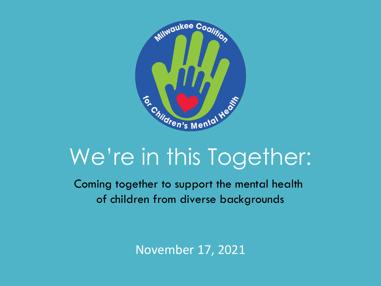

## We're in this Together:

Coming together to support the mental health of children from diverse backgrounds

November 17, 2021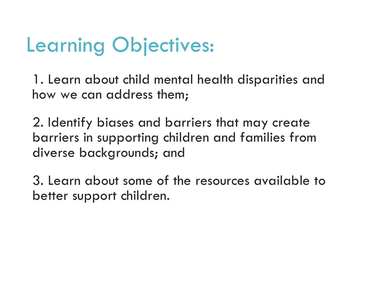## Learning Objectives:

1. Learn about child mental health disparities and how we can address them;

2. Identify biases and barriers that may create barriers in supporting children and families from diverse backgrounds; and

3. Learn about some of the resources available to better support children.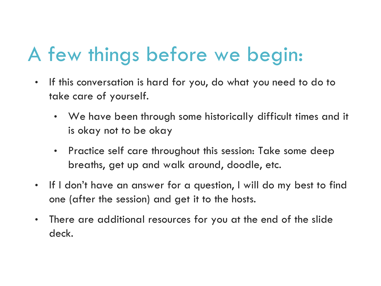## A few things before we begin:

- If this conversation is hard for you, do what you need to do to take care of yourself.
	- We have been through some historically difficult times and it is okay not to be okay
	- Practice self care throughout this session: Take some deep breaths, get up and walk around, doodle, etc.
- If I don't have an answer for a question, I will do my best to find one (after the session) and get it to the hosts.
- There are additional resources for you at the end of the slide deck.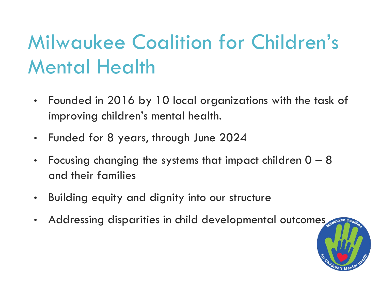## Milwaukee Coalition for Children's Mental Health

- Founded in 2016 by 10 local organizations with the task of improving children's mental health.
- Funded for 8 years, through June 2024
- Focusing changing the systems that impact children  $0 8$ and their families
- Building equity and dignity into our structure
- Addressing disparities in child developmental outcomes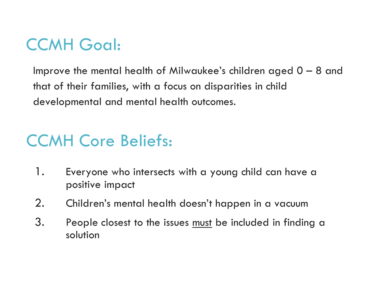## CCMH Goal:

Improve the mental health of Milwaukee's children aged 0 – 8 and that of their families, with a focus on disparities in child developmental and mental health outcomes.

## CCMH Core Beliefs:

- 1. Everyone who intersects with a young child can have a positive impact
- 2. Children's mental health doesn't happen in a vacuum
- 3. People closest to the issues must be included in finding a solution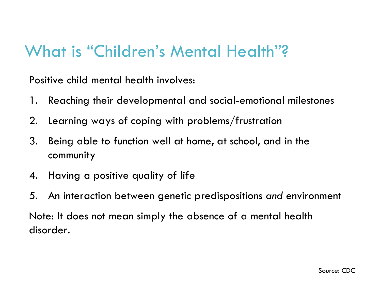#### What is "Children's Mental Health"?

Positive child mental health involves:

- 1. Reaching their developmental and social-emotional milestones
- 2. Learning ways of coping with problems/frustration
- 3. Being able to function well at home, at school, and in the community
- 4. Having a positive quality of life
- 5. An interaction between genetic predispositions *and* environment

Note: It does not mean simply the absence of a mental health disorder.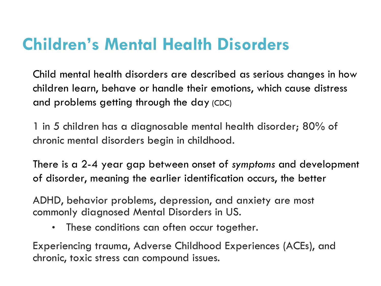### **Children's Mental Health Disorders**

Child mental health disorders are described as serious changes in how children learn, behave or handle their emotions, which cause distress and problems getting through the day (CDC)

1 in 5 children has a diagnosable mental health disorder; 80% of chronic mental disorders begin in childhood.

There is a 2-4 year gap between onset of *symptoms* and development of disorder, meaning the earlier identification occurs, the better

ADHD, behavior problems, depression, and anxiety are most commonly diagnosed Mental Disorders in US.

• These conditions can often occur together.

Experiencing trauma, Adverse Childhood Experiences (ACEs), and chronic, toxic stress can compound issues.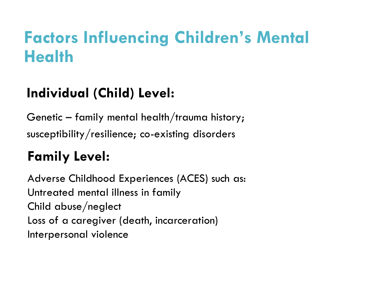### **Factors Influencing Children's Mental Health**

#### **Individual (Child) Level:**

Genetic – family mental health/trauma history; susceptibility/resilience; co-existing disorders

#### **Family Level:**

Adverse Childhood Experiences (ACES) such as: Untreated mental illness in family Child abuse/neglect Loss of a caregiver (death, incarceration) Interpersonal violence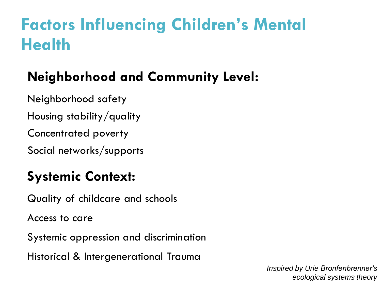## **Factors Influencing Children's Mental Health**

### **Neighborhood and Community Level:**

Neighborhood safety

Housing stability/quality

Concentrated poverty

Social networks/supports

#### **Systemic Context:**

Quality of childcare and schools

Access to care

Systemic oppression and discrimination

Historical & Intergenerational Trauma

*Inspired by Urie Bronfenbrenner's ecological systems theory*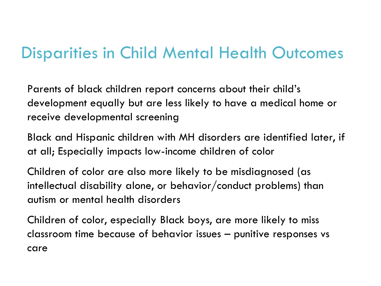#### Disparities in Child Mental Health Outcomes

Parents of black children report concerns about their child's development equally but are less likely to have a medical home or receive developmental screening

Black and Hispanic children with MH disorders are identified later, if at all; Especially impacts low-income children of color

Children of color are also more likely to be misdiagnosed (as intellectual disability alone, or behavior/conduct problems) than autism or mental health disorders

Children of color, especially Black boys, are more likely to miss classroom time because of behavior issues – punitive responses vs care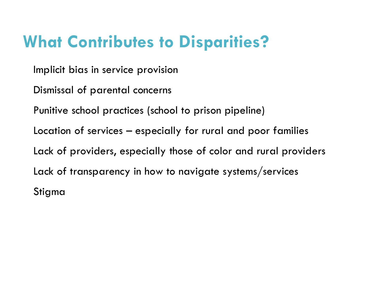## **What Contributes to Disparities?**

Implicit bias in service provision

Dismissal of parental concerns

Punitive school practices (school to prison pipeline)

Location of services – especially for rural and poor families

Lack of providers, especially those of color and rural providers

Lack of transparency in how to navigate systems/services

Stigma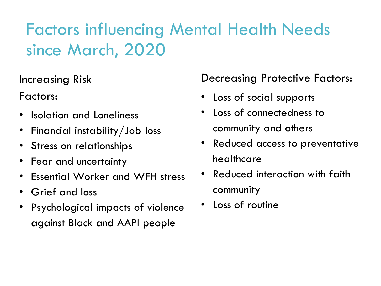## Factors influencing Mental Health Needs since March, 2020

Increasing Risk

Factors:

- Isolation and Loneliness
- Financial instability/Job loss
- Stress on relationships
- Fear and uncertainty
- Essential Worker and WFH stress
- Grief and loss
- Psychological impacts of violence against Black and AAPI people

#### Decreasing Protective Factors:

- Loss of social supports
- Loss of connectedness to community and others
- Reduced access to preventative healthcare
- Reduced interaction with faith community
- Loss of routine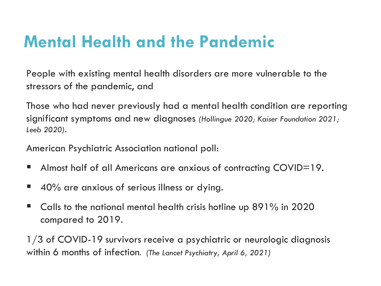## **Mental Health and the Pandemic**

People with existing mental health disorders are more vulnerable to the stressors of the pandemic, and

Those who had never previously had a mental health condition are reporting significant symptoms and new diagnoses *(Hollingue 2020; Kaiser Foundation 2021; Leeb 2020).*

American Psychiatric Association national poll:

- Almost half of all Americans are anxious of contracting COVID=19.
- 40% are anxious of serious illness or dying.
- $\blacksquare$  Calls to the national mental health crisis hotline up 891% in 2020 compared to 2019.

1/3 of COVID-19 survivors receive a psychiatric or neurologic diagnosis within 6 months of infection. *(The Lancet Psychiatry, April 6, 2021)*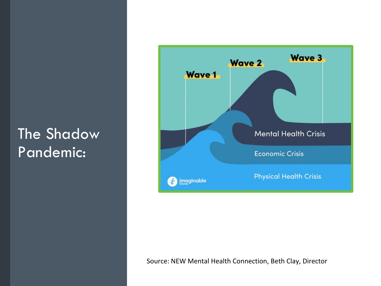#### **The Shadow** Pandemic:



Source: NEW Mental Health Connection, Beth Clay, Director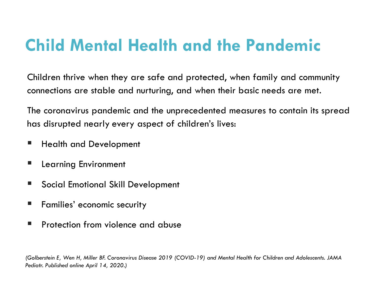## **Child Mental Health and the Pandemic**

Children thrive when they are safe and protected, when family and community connections are stable and nurturing, and when their basic needs are met.

The coronavirus pandemic and the unprecedented measures to contain its spread has disrupted nearly every aspect of children's lives:

- **Health and Development**
- Learning Environment
- Social Emotional Skill Development
- Families' economic security
- **Protection from violence and abuse**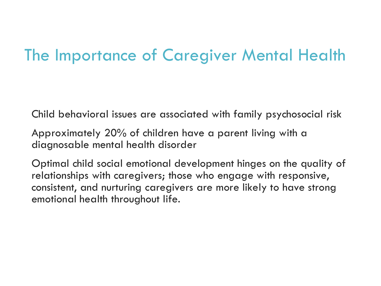#### The Importance of Caregiver Mental Health

Child behavioral issues are associated with family psychosocial risk

Approximately 20% of children have a parent living with a diagnosable mental health disorder

Optimal child social emotional development hinges on the quality of relationships with caregivers; those who engage with responsive, consistent, and nurturing caregivers are more likely to have strong emotional health throughout life.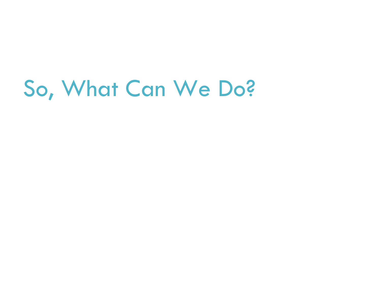## So, What Can We Do?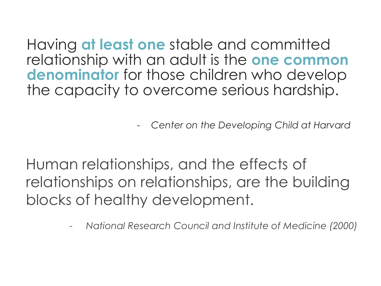Having **at least one** stable and committed relationship with an adult is the **one common denominator** for those children who develop the capacity to overcome serious hardship.

- *Center on the Developing Child at Harvard*

Human relationships, and the effects of relationships on relationships, are the building blocks of healthy development.

*- National Research Council and Institute of Medicine (2000)*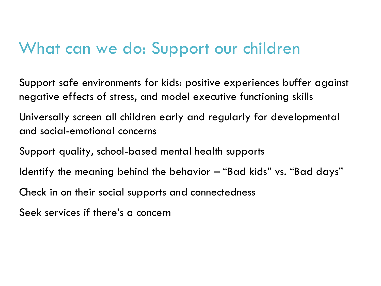#### What can we do: Support our children

Support safe environments for kids: positive experiences buffer against negative effects of stress, and model executive functioning skills

Universally screen all children early and regularly for developmental and social-emotional concerns

Support quality, school-based mental health supports

Identify the meaning behind the behavior – "Bad kids" vs. "Bad days"

Check in on their social supports and connectedness

Seek services if there's a concern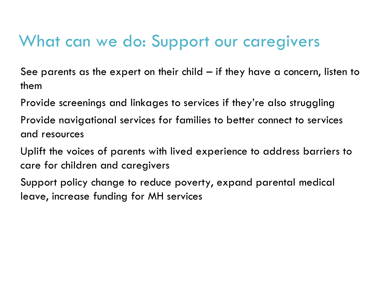### What can we do: Support our caregivers

See parents as the expert on their child – if they have a concern, listen to them

Provide screenings and linkages to services if they're also struggling

Provide navigational services for families to better connect to services and resources

Uplift the voices of parents with lived experience to address barriers to care for children and caregivers

Support policy change to reduce poverty, expand parental medical leave, increase funding for MH services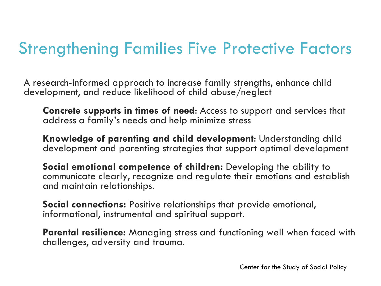### Strengthening Families Five Protective Factors

A research-informed approach to increase family strengths, enhance child development, and reduce likelihood of child abuse/neglect

**Concrete supports in times of need**: Access to support and services that address a family's needs and help minimize stress

**Knowledge of parenting and child development**: Understanding child development and parenting strategies that support optimal development

**Social emotional competence of children:** Developing the ability to communicate clearly, recognize and regulate their emotions and establish and maintain relationships.

**Social connections:** Positive relationships that provide emotional, informational, instrumental and spiritual support.

**Parental resilience:** Managing stress and functioning well when faced with challenges, adversity and trauma.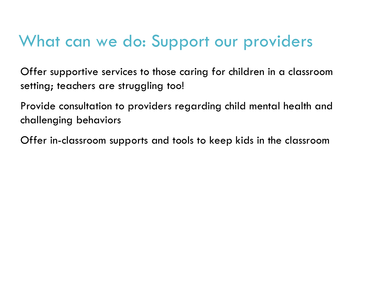### What can we do: Support our providers

Offer supportive services to those caring for children in a classroom setting; teachers are struggling too!

Provide consultation to providers regarding child mental health and challenging behaviors

Offer in-classroom supports and tools to keep kids in the classroom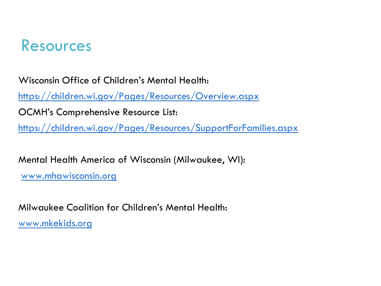#### Resources

Wisconsin Office of Children's Mental Health:

<https://children.wi.gov/Pages/Resources/Overview.aspx>

OCMH's Comprehensive Resource List:

<https://children.wi.gov/Pages/Resources/SupportForFamilies.aspx>

Mental Health America of Wisconsin (Milwaukee, WI):

[www.mhawisconsin.org](http://www.mhawisconsin.org)

Milwaukee Coalition for Children's Mental Health: [www.mkekids.org](http://www.mkekids.org)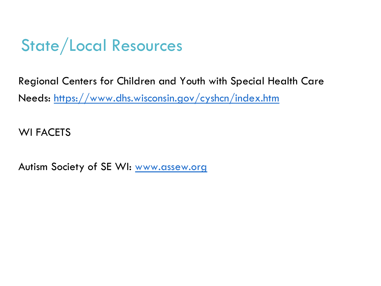## State/Local Resources

Regional Centers for Children and Youth with Special Health Care Needs: <https://www.dhs.wisconsin.gov/cyshcn/index.htm>

WI FACETS

Autism Society of SE WI: [www.assew.org](http://www.assew.org)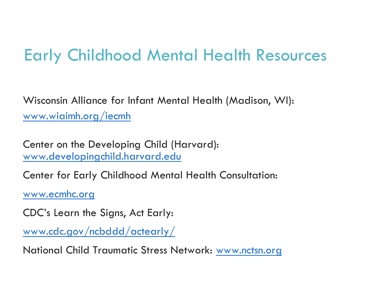### Early Childhood Mental Health Resources

Wisconsin Alliance for Infant Mental Health (Madison, WI): [www.wiaimh.org/iecmh](http://www.wiaimh.org/iecmh)

Center on the Developing Child (Harvard): [www.developingchild.harvard.edu](http://www.developingchild.harvard.edu)

Center for Early Childhood Mental Health Consultation:

[www.ecmhc.org](http://www.ecmhc.org/)

CDC's Learn the Signs, Act Early:

[www.cdc.gov/ncbddd/actearly/](http://www.cdc.gov/ncbddd/actearly/)

National Child Traumatic Stress Network: [www.nctsn.org](http://www.nctsn.org/)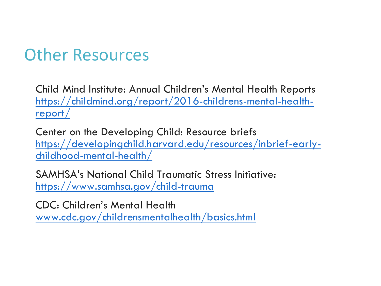#### Other Resources

Child Mind Institute: Annual Children's Mental Health Reports [https://childmind.org/report/2016-childrens-mental-health](https://childmind.org/report/2016-childrens-mental-health-report/)report/

Center on the Developing Child: Resource briefs [https://developingchild.harvard.edu/resources/inbrief-early](https://developingchild.harvard.edu/resources/inbrief-early-childhood-mental-health/)childhood-mental-health/

SAMHSA's National Child Traumatic Stress Initiative: <https://www.samhsa.gov/child-trauma>

CDC: Children's Mental Health [www.cdc.gov/childrensmentalhealth/basics.html](http://www.cdc.gov/childrensmentalhealth/basics.html)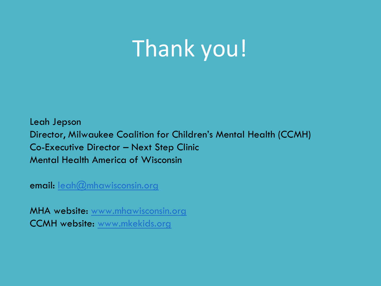# Thank you!

Leah Jepson Director, Milwaukee Coalition for Children's Mental Health (CCMH) Co-Executive Director – Next Step Clinic Mental Health America of Wisconsin

email: [leah@mhawisconsin.org](mailto:leah@mhawisconsin.org)

MHA website: [www.mhawisconsin.org](http://www.mhawisconsin.org) CCMH website: [www.mkekids.org](http://www.mkekids.org)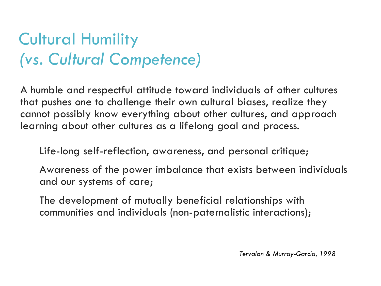## Cultural Humility *(vs. Cultural Competence)*

A humble and respectful attitude toward individuals of other cultures that pushes one to challenge their own cultural biases, realize they cannot possibly know everything about other cultures, and approach learning about other cultures as a lifelong goal and process.

Life-long self-reflection, awareness, and personal critique;

Awareness of the power imbalance that exists between individuals and our systems of care;

The development of mutually beneficial relationships with communities and individuals (non-paternalistic interactions);

*Tervalon & Murray-Garcia, 1998*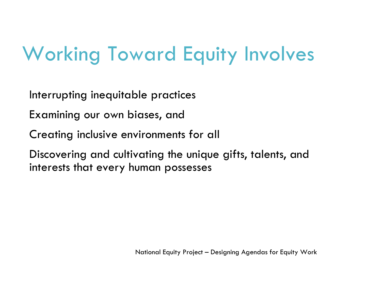## Working Toward Equity Involves

Interrupting inequitable practices

Examining our own biases, and

Creating inclusive environments for all

Discovering and cultivating the unique gifts, talents, and interests that every human possesses